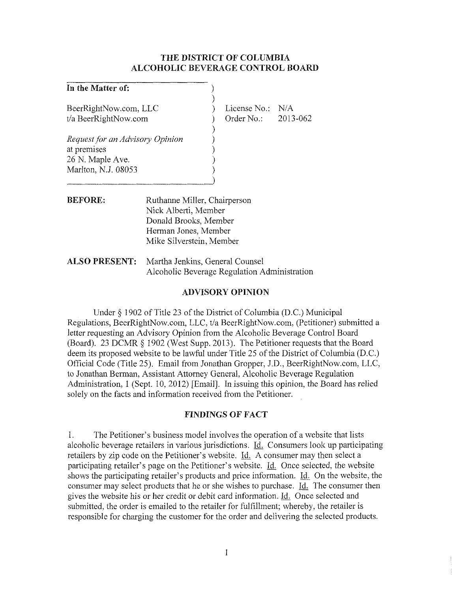#### **THE DISTRICT OF COLUMBIA ALCOHOLIC BEVERAGE CONTROL BOARD**

) )

> ) ) ) ) )

#### **In the Matter of:**

BeerRightNow.com, LLC *tla* BeerRightNow.com

*Request for an Advisory Opinion* at premises 26 N. Maple Ave. Marlton, N.J. 08053

) License No.: N/A ) Order No.: 2013-062

- **BEFORE:** Ruthanne Miller, Chairperson Nick Alberti, Member Donald Brooks, Member Herman Jones, Member Mike Silverstein, Member
- **ALSO PRESENT:** Martha Jenkins, General Counsel Alcoholic Beverage Regulation Administration

### **ADVISORY OPINION**

Under § 1902 of Title 23 of the District of Columbia (D.C.) Municipal Regulations, BeerRightNow.com, LLC, *tla* BeerRightNow.com, (Petitioner) submitted a letter requesting an Advisory Opinion from the Alcoholic Beverage Control Board (Board). 23 DCMR § 1902 (West Supp. 2013). The Petitioner requests that the Board deem its proposed website to be lawful under Title 25 of the District of Columbia (D.C.) Official Code (Title 25). Email from Jonathan Gropper, J.D., BeerRightNow.com, LLC, to Jonathan Berman, Assistant Attorney General, Alcoholic Beverage Regulation Administration, I (Sept. 10, 2012) [Email]. In issuing this opinion, the Board has relied solely on the facts and information received from the Petitioner.

#### **FINDINGS OF FACT**

I. The Petitioner's business model involves the operation of a website that lists alcoholic beverage retailers in various jurisdictions. Id. Consumers look up participating retailers by zip code on the Petitioner's website. Id. A consumer may then select a participating retailer's page on the Petitioner's website. Id. Once selected, the website shows the participating retailer's products and price information. Id. On the website, the consumer may select products that he or she wishes to purchase. Id. The consumer then gives the website his or her credit or debit card information. Id. Once selected and submitted, the order is emailed to the retailer for fulfillment; whereby, the retailer is responsible for charging the customer for the order and delivering the selected products.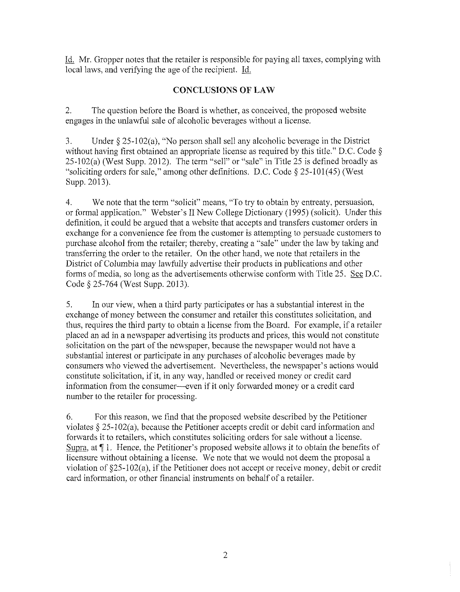Id. Mr. Gropper notes that the retailer is responsible for paying all taxes, complying with local laws, and verifying the age of the recipient. Id.

## **CONCLUSIONS OF LAW**

2. The question before the Board is whether, as conceived, the proposed website engages in the unlawful sale of alcoholic beverages without a license.

3. Under § 25-102(a), "No person shall sell any alcoholic beverage in the District without having first obtained an appropriate license as required by this title." D.C. Code § 25-102(a) (West Supp. 2012). The term "sell" or "sale" in Title 25 is defined broadly as "soliciting orders for sale," among other definitions. D.C. Code  $\S 25-101(45)$  (West Supp. 2013).

4. We note that the term "solicit" means, "To try to obtain by entreaty, persuasion, or formal application." Webster's II New College Dictionary (1995) (solicit). Under this definition, it could be argued that a website that accepts and transfers customer orders in exchange for a convenience fee from the customer is attempting to persuade customers to purchase alcohol from the retailer; thereby, creating a "sale" under the law by taking and transferring the order to the retailer. On the other hand, we note that retailers in the District of Columbia may lawfully advertise their products in publications and other forms of media, so long as the advertisements otherwise conform with Title 25. See D.C. Code § 25-764 (West Supp. 2013).

5. In our view, when a third party participates or has a substantial interest in the exchange of money between the consumer and retailer this constitutes solicitation, and thus, requires the third party to obtain a license from the Board. For example, if a retailer placed an ad in a newspaper advertising its products and prices, this would not constitute solicitation on the part of the newspaper, because the newspaper would not have a substantial interest or participate in any purchases of alcoholic beverages made by consumers who viewed the advertisement. Nevertheless, the newspaper's actions would constitute solicitation, if it, in any way, handled or received money or credit card information from the consumer--even if it only forwarded money or a credit card number to the retailer for processing.

6. For this reason, we find that the proposed website described by the Petitioner violates  $\S$  25-102(a), because the Petitioner accepts credit or debit card information and forwards it to retailers, which constitutes soliciting orders for sale without a license. Supra, at  $\P$  1. Hence, the Petitioner's proposed website allows it to obtain the benefits of licensure without obtaining a license. We note that we would not deem the proposal a violation of §25-102(a), if the Petitioner does not accept or receive money, debit or credit card information, or other financial instruments on behalf of a retailer.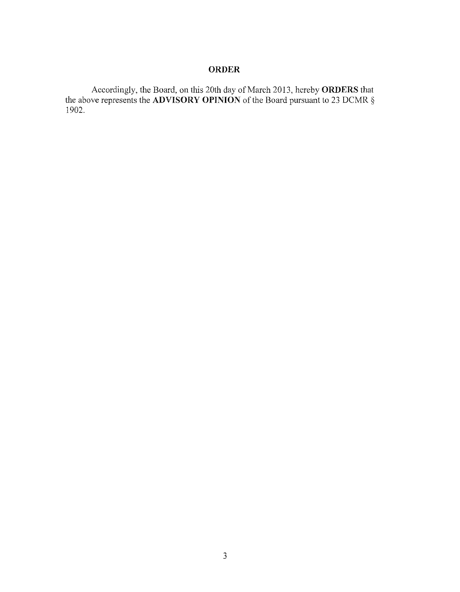# **ORDER**

Accordingly, the Board, on this 20th day of March 2013, hereby **ORDERS** that the above represents the **ADVISORY OPINION** of the Board pursuant to 23 DCMR § 1902.